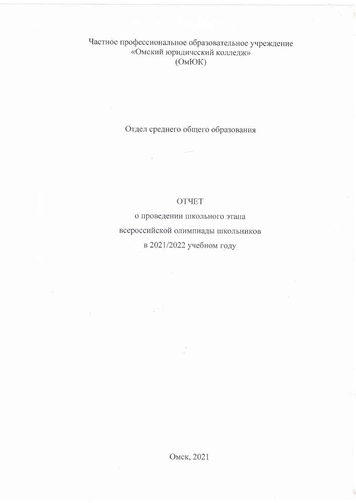Частное профессиональное образовательное учреждение «Омский юридический колледж»  $(OMHOK)$ 

Отдел среднего общего образования

## **OTHET**

о проведении школьного этапа всероссийской олимпиады школьников в 2021/2022 учебном году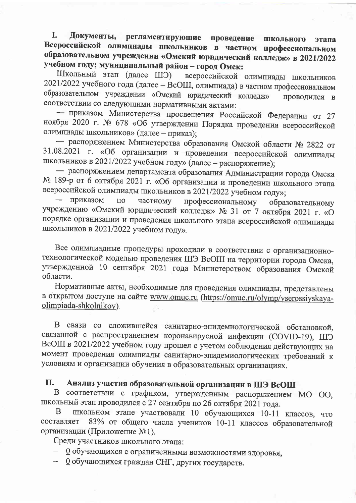Документы, регламентирующие I. проведение ШКОЛЬНОГО этапа Всероссийской олимпиады школьников в частном профессиональном образовательном учреждении «Омский юридический колледж» в 2021/2022 учебном году; муниципальный район - город Омск:

Школьный этап (далее ШЭ) всероссийской олимпиады школьников 2021/2022 учебного года (далее - ВсОШ, олимпиада) в частном профессиональном образовательном учреждении «Омский юридический колледж» проводился в соответствии со следующими нормативными актами:

- приказом Министерства просвещения Российской Федерации от 27 ноября 2020 г. № 678 «Об утверждении Порядка проведения всероссийской олимпиады школьников» (далее - приказ);

- распоряжением Министерства образования Омской области № 2822 от 31.08.2021 г. «Об организации и проведении всероссийской олимпиады школьников в 2021/2022 учебном году» (далее - распоряжение);

- распоряжением департамента образования Администрации города Омска № 189-р от 6 октября 2021 г. «Об организации и проведении школьного этапа всероссийской олимпиады школьников в 2021/2022 учебном году»;

приказом  $\overline{10}$ частному профессиональному образовательному учреждению «Омский юридический колледж» № 31 от 7 октября 2021 г. «О порядке организации и проведения школьного этапа всероссийской олимпиады школьников в 2021/2022 учебном году».

Все олимпиадные процедуры проходили в соответствии с организационнотехнологической моделью проведения ШЭ ВсОШ на территории города Омска, утвержденной 10 сентября 2021 года Министерством образования Омской области.

Нормативные акты, необходимые для проведения олимпиады, представлены в открытом доступе на сайте www.omuc.ru (https://omuc.ru/olymp/vserossiyskayaolimpiada-shkolnikov).

В связи со сложившейся санитарно-эпидемиологической обстановкой, связанной с распространением коронавирусной инфекции (COVID-19), ШЭ ВсОШ в 2021/2022 учебном году прошел с учетом соблюдения действующих на момент проведения олимпиады санитарно-эпидемиологических требований к условиям и организации обучения в образовательных организациях.

## II. Анализ участия образовательной организации в ШЭ ВсОШ

В соответствии с графиком, утвержденным распоряжением МО ОО, школьный этап проводился с 27 сентября по 26 октября 2021 года.

школьном этапе участвовали 10 обучающихся 10-11 классов, что B 83% от общего числа учеников 10-11 классов образовательной составляет организации (Приложение №1).

Среди участников школьного этапа:

- О обучающихся с ограниченными возможностями здоровья,
- 0 обучающихся граждан СНГ, других государств.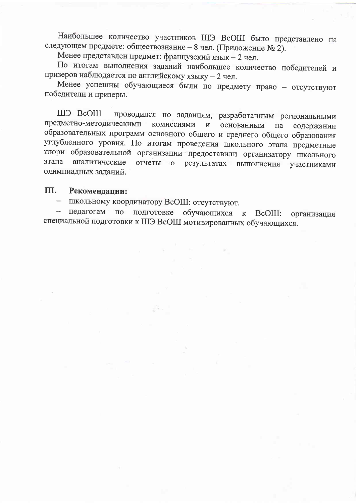Наибольшее количество участников ШЭ ВсОШ было представлено на следующем предмете: обществознание - 8 чел. (Приложение № 2).

Менее представлен предмет: французский язык - 2 чел.

По итогам выполнения заданий наибольшее количество победителей и призеров наблюдается по английскому языку - 2 чел.

Менее успешны обучающиеся были по предмету право - отсутствуют победители и призеры.

проводился по заданиям, разработанным региональными ШЭ ВсОШ предметно-методическими комиссиями  $\mathbf H$ основанным на содержании образовательных программ основного общего и среднего общего образования углубленного уровня. По итогам проведения школьного этапа предметные жюри образовательной организации предоставили организатору школьного этапа аналитические отчеты  $\overline{O}$ результатах выполнения участниками олимпиадных заданий.

## Ш. Рекомендации:

- школьному координатору ВсОШ: отсутствуют.

по подготовке обучающихся педагогам к ВсОШ: организация специальной подготовки к ШЭ ВсОШ мотивированных обучающихся.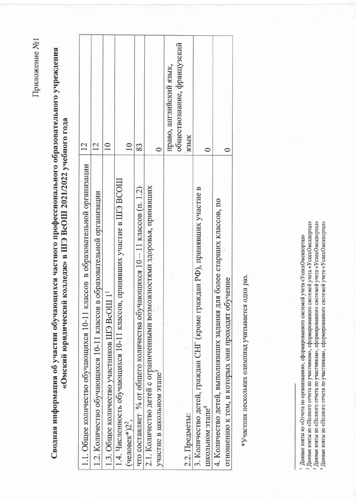Приложение №1

Сводная информация об участии обучающихся частного профессионального образовательного учреждения «Омский юридический колледж» в ШЭ ВсОШ 2021/2022 учебного года

| 1.1. Общее количество обучающихся 10-11 классов в образовательной организации | 12                          |
|-------------------------------------------------------------------------------|-----------------------------|
| 1.2. Количество обучающихся 10-11 классов в образовательной организации       | 12                          |
| 1.3. Общее количество участников ШЭ ВсОШ 1                                    | $\supseteq$                 |
| принявших участие в ШЭ ВСОШ<br>1.4. Численность обучающихся 10-11 классов.    |                             |
| (человек*) $2^2$ ,                                                            | $\overline{10}$             |
| что составляет % от общего количества обучающихся $10-11$ классов (п. 1.2)    | 83                          |
| 2.1. Количество детей с ограниченными возможностями здоровья, принявших       |                             |
| участие в школьном этапе <sup>3</sup>                                         |                             |
|                                                                               | право, английский язык,     |
|                                                                               | обществознание, французский |
| 2.2. Предметы:                                                                | ЯЗЫК                        |
| 3. Количество детей, граждан СНГ (кроме граждан РФ), принявших участие в      |                             |
| школьном этапе <sup>4</sup>                                                   |                             |
| 4. Количество детей, выполнявших задания для более старших классов, по        |                             |
| отношению к тем, в которых они проходят обучение                              |                             |
|                                                                               |                             |

\*Участник нескольких олимпиад учитывается один раз.

<sup>3</sup> Данные взяты из «Полного отчета по участникам», сформированного системой учета «УспехОмскпортал» ( Данные взяты из «Полного отчета по участникам», сформированного системой учета «УспехОмскпортал» Данные взяты из «Полного отчета по участникам», сформированного системой учета «УспехОмскпортал» 1 Данные взяты из «Отчета по организациям», сформированного системой учета «УспехОмскпортал»